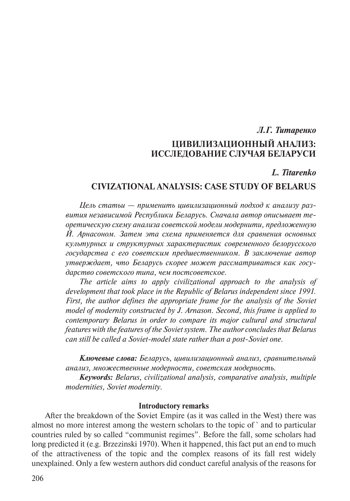# *Л.Г. Титаренко* **ЦИВИЛИЗАЦИОННЫЙ АНАЛИЗ: ИССЛЕДОВАНИЕ СЛУЧАЯ БЕЛАРУСИ**

## *L. Titarenko*

## **CIVIZATIONAL ANALYSIS: CASE STUDY OF BELARUS**

*Цель статьи — применить цивилизационный подход к анализу развития независимой Республики Беларусь. Сначала автор описывает теоретическую схему анализа советской модели модернити, предложенную Й. Арнасоном. Затем эта схема применяется для сравнения основных культурных и структурных характеристик современного белорусского государства с его советским предшественником. В заключение автор утверждает, что Беларусь скорее может рассматриваться как государство советского типа, чем постсоветское.*

*The article aims to apply civilizational approach to the analysis of development that took place in the Republic of Belarus independent since 1991. First, the author defines the appropriate frame for the analysis of the Soviet model of modernity constructed by J. Arnason. Second, this frame is applied to contemporary Belarus in order to compare its major cultural and structural features with the features of the Soviet system. The author concludes that Belarus can still be called a Soviet-model state rather than a post-Soviet one.*

*Ключевые слова: Беларусь, цивилизационный анализ, сравнительный анализ, множественные модерности, советская модерность.* 

*Keywords: Belarus, civilizational analysis, comparative analysis, multiple modernities, Soviet modernity.*

#### **Introductory remarks**

After the breakdown of the Soviet Empire (as it was called in the West) there was almost no more interest among the western scholars to the topic of ` and to particular countries ruled by so called "communist regimes". Before the fall, some scholars had long predicted it (e.g. Brzezinski 1970). When it happened, this fact put an end to much of the attractiveness of the topic and the complex reasons of its fall rest widely unexplained. Only a few western authors did conduct careful analysis of the reasons for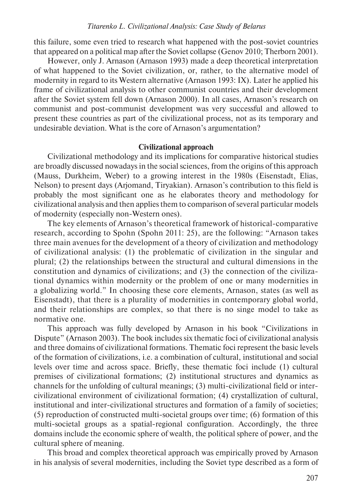this failure, some even tried to research what happened with the post-soviet countries that appeared on a political map after the Soviet collapse (Genov 2010; Therborn 2001).

However, only J. Arnason (Arnason 1993) made a deep theoretical interpretation of what happened to the Soviet civilization, or, rather, to the alternative model of modernity in regard to its Western alternative (Arnason 1993: IX). Later he applied his frame of civilizational analysis to other communist countries and their development after the Soviet system fell down (Arnason 2000). In all cases, Arnason's research on communist and post-communist development was very successful and allowed to present these countries as part of the civilizational process, not as its temporary and undesirable deviation. What is the core of Arnason's argumentation?

## **Civilizational approach**

Civilizational methodology and its implications for comparative historical studies are broadly discussed nowadays in the social sciences, from the origins of this approach (Mauss, Durkheim, Weber) to a growing interest in the 1980s (Eisenstadt, Elias, Nelson) to present days (Arjomand, Tiryakian). Arnason's contribution to this field is probably the most significant one as he elaborates theory and methodology for civilizational analysis and then applies them to comparison of several particular models of modernity (especially non-Western ones).

The key elements of Arnason's theoretical framework of historical-comparative research, according to Spohn (Spohn 2011: 25), are the following: "Arnason takes three main avenues for the development of a theory of civilization and methodology of civilizational analysis: (1) the problematic of civilization in the singular and plural; (2) the relationships between the structural and cultural dimensions in the constitution and dynamics of civilizations; and (3) the connection of the civilizational dynamics within modernity or the problem of one or many modernities in a globalizing world." In choosing these core elements, Arnason, states (as well as Eisenstadt), that there is a plurality of modernities in contemporary global world, and their relationships are complex, so that there is no singe model to take as normative one.

This approach was fully developed by Arnason in his book "Civilizations in Dispute" (Arnason 2003). The book includes six thematic foci of civilizational analysis and three domains of civilizational formations. Thematic foci represent the basic levels of the formation of civilizations, i.e. a combination of cultural, institutional and social levels over time and across space. Briefly, these thematic foci include (1) cultural premises of civilizational formations; (2) institutional structures and dynamics as channels for the unfolding of cultural meanings; (3) multi-civilizational field or intercivilizational environment of civilizational formation; (4) crystallization of cultural, institutional and inter-civilizational structures and formation of a family of societies; (5) reproduction of constructed multi-societal groups over time; (6) formation of this multi-societal groups as a spatial-regional configuration. Accordingly, the three domains include the economic sphere of wealth, the political sphere of power, and the cultural sphere of meaning.

This broad and complex theoretical approach was empirically proved by Arnason in his analysis of several modernities, including the Soviet type described as a form of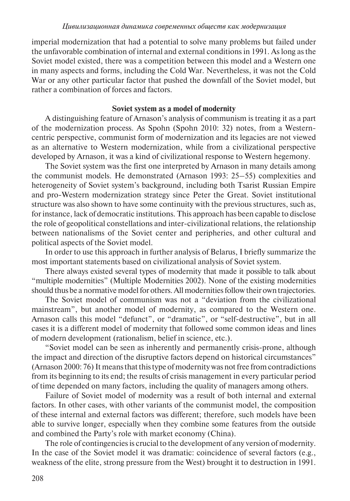imperial modernization that had a potential to solve many problems but failed under the unfavorable combination of internal and external conditions in 1991. As long as the Soviet model existed, there was a competition between this model and a Western one in many aspects and forms, including the Cold War. Nevertheless, it was not the Cold War or any other particular factor that pushed the downfall of the Soviet model, but rather a combination of forces and factors.

## **Soviet system as a model of modernity**

A distinguishing feature of Arnason's analysis of communism is treating it as a part of the modernization process. As Spohn (Spohn 2010: 32) notes, from a Westerncentric perspective, communist form of modernization and its legacies are not viewed as an alternative to Western modernization, while from a civilizational perspective developed by Arnason, it was a kind of civilizational response to Western hegemony.

The Soviet system was the first one interpreted by Arnason in many details among the communist models. He demonstrated (Arnason 1993: 25–55) complexities and heterogeneity of Soviet system's background, including both Tsarist Russian Empire and pro-Western modernization strategy since Peter the Great. Soviet institutional structure was also shown to have some continuity with the previous structures, such as, for instance, lack of democratic institutions. This approach has been capable to disclose the role of geopolitical constellations and inter-civilizational relations, the relationship between nationalisms of the Soviet center and peripheries, and other cultural and political aspects of the Soviet model.

In order to use this approach in further analysis of Belarus, I briefly summarize the most important statements based on civilizational analysis of Soviet system.

There always existed several types of modernity that made it possible to talk about "multiple modernities" (Multiple Modernities 2002). None of the existing modernities should thus be a normative model for others. All modernities follow their own trajectories.

The Soviet model of communism was not a "deviation from the civilizational mainstream", but another model of modernity, as compared to the Western one. Arnason calls this model "defunct", or "dramatic", or "self-destructive", but in all cases it is a different model of modernity that followed some common ideas and lines of modern development (rationalism, belief in science, etc.).

"Soviet model can be seen as inherently and permanently crisis-prone, although the impact and direction of the disruptive factors depend on historical circumstances" (Arnason 2000: 76) It means that this type of modernity was not free from contradictions from its beginning to its end; the results of crisis management in every particular period of time depended on many factors, including the quality of managers among others.

Failure of Soviet model of modernity was a result of both internal and external factors. In other cases, with other variants of the communist model, the composition of these internal and external factors was different; therefore, such models have been able to survive longer, especially when they combine some features from the outside and combined the Party's role with market economy (China).

The role of contingencies is crucial to the development of any version of modernity. In the case of the Soviet model it was dramatic: coincidence of several factors (e.g., weakness of the elite, strong pressure from the West) brought it to destruction in 1991.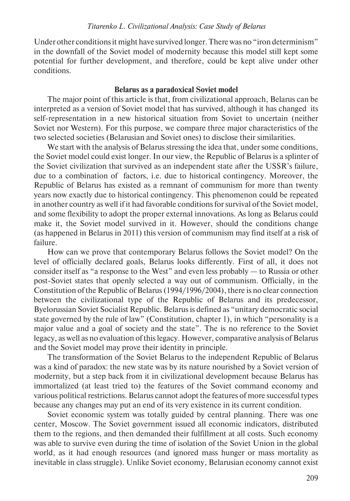Under other conditions it might have survived longer. There was no "iron determinism" in the downfall of the Soviet model of modernity because this model still kept some potential for further development, and therefore, could be kept alive under other conditions.

### **Belarus as a paradoxical Soviet model**

The major point of this article is that, from civilizational approach, Belarus can be interpreted as a version of Soviet model that has survived, although it has changed its self-representation in a new historical situation from Soviet to uncertain (neither Soviet nor Western). For this purpose, we compare three major characteristics of the two selected societies (Belarusian and Soviet ones) to disclose their similarities.

We start with the analysis of Belarus stressing the idea that, under some conditions, the Soviet model could exist longer. In our view, the Republic of Belarus is a splinter of the Soviet civilization that survived as an independent state after the USSR's failure, due to a combination of factors, i.e. due to historical contingency. Moreover, the Republic of Belarus has existed as a remnant of communism for more than twenty years now exactly due to historical contingency. This phenomenon could be repeated in another country as well if it had favorable conditions for survival of the Soviet model, and some flexibility to adopt the proper external innovations. As long as Belarus could make it, the Soviet model survived in it. However, should the conditions change (as happened in Belarus in 2011) this version of communism may find itself at a risk of failure.

How can we prove that contemporary Belarus follows the Soviet model? On the level of officially declared goals, Belarus looks differently. First of all, it does not consider itself as "a response to the West" and even less probably — to Russia or other post-Soviet states that openly selected a way out of communism. Officially, in the Constitution of the Republic of Belarus (1994/1996/2004), there is no clear connection between the civilizational type of the Republic of Belarus and its predecessor, Byelorussian Soviet Socialist Republic. Belarus is defined as "unitary democratic social state governed by the rule of law" (Constitution, chapter 1), in which "personality is a major value and a goal of society and the state". The is no reference to the Soviet legacy, as well as no evaluation of this legacy. However, comparative analysis of Belarus and the Soviet model may prove their identity in principle.

The transformation of the Soviet Belarus to the independent Republic of Belarus was a kind of paradox: the new state was by its nature nourished by a Soviet version of modernity, but a step back from it in civilizational development because Belarus has immortalized (at least tried to) the features of the Soviet command economy and various political restrictions. Belarus cannot adopt the features of more successful types because any changes may put an end of its very existence in its current condition.

Soviet economic system was totally guided by central planning. There was one center, Moscow. The Soviet government issued all economic indicators, distributed them to the regions, and then demanded their fulfillment at all costs. Such economy was able to survive even during the time of isolation of the Soviet Union in the global world, as it had enough resources (and ignored mass hunger or mass mortality as inevitable in class struggle). Unlike Soviet economy, Belarusian economy cannot exist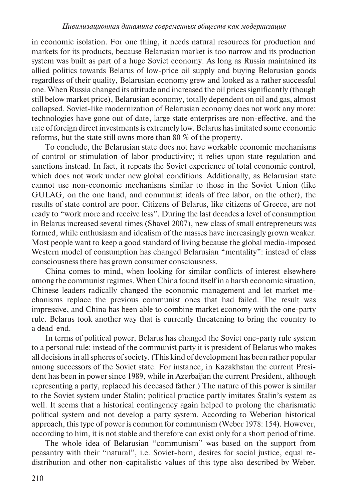in economic isolation. For one thing, it needs natural resources for production and markets for its products, because Belarusian market is too narrow and its production system was built as part of a huge Soviet economy. As long as Russia maintained its allied politics towards Belarus of low-price oil supply and buying Belarusian goods regardless of their quality, Belarusian economy grew and looked as a rather successful one. When Russia changed its attitude and increased the oil prices significantly (though still below market price), Belarusian economy, totally dependent on oil and gas, almost collapsed. Soviet-like modernization of Belarusian economy does not work any more: technologies have gone out of date, large state enterprises are non-effective, and the rate of foreign direct investments is extremely low. Belarus has imitated some economic reforms, but the state still owns more than 80 % of the property.

To conclude, the Belarusian state does not have workable economic mechanisms of control or stimulation of labor productivity; it relies upon state regulation and sanctions instead. In fact, it repeats the Soviet experience of total economic control, which does not work under new global conditions. Additionally, as Belarusian state cannot use non-economic mechanisms similar to those in the Soviet Union (like GULAG, on the one hand, and communist ideals of free labor, on the other), the results of state control are poor. Citizens of Belarus, like citizens of Greece, are not ready to "work more and receive less". During the last decades a level of consumption in Belarus increased several times (Shavel 2007), new class of small entrepreneurs was formed, while enthusiasm and idealism of the masses have increasingly grown weaker. Most people want to keep a good standard of living because the global media-imposed Western model of consumption has changed Belarusian "mentality": instead of class consciousness there has grown consumer consciousness.

China comes to mind, when looking for similar conflicts of interest elsewhere among the communist regimes. When China found itself in a harsh economic situation, Chinese leaders radically changed the economic management and let market mechanisms replace the previous communist ones that had failed. The result was impressive, and China has been able to combine market economy with the one-party rule. Belarus took another way that is currently threatening to bring the country to a dead-end.

In terms of political power, Belarus has changed the Soviet one-party rule system to a personal rule: instead of the communist party it is president of Belarus who makes all decisions in all spheres of society. (This kind of development has been rather popular among successors of the Soviet state. For instance, in Kazakhstan the current President has been in power since 1989, while in Azerbaijan the current President, although representing a party, replaced his deceased father.) The nature of this power is similar to the Soviet system under Stalin; political practice partly imitates Stalin's system as well. It seems that a historical contingency again helped to prolong the charismatic political system and not develop a party system. According to Weberian historical approach, this type of power is common for communism (Weber 1978: 154). However, according to him, it is not stable and therefore can exist only for a short period of time.

The whole idea of Belarusian "communism" was based on the support from peasantry with their "natural", i.e. Soviet-born, desires for social justice, equal redistribution and other non-capitalistic values of this type also described by Weber.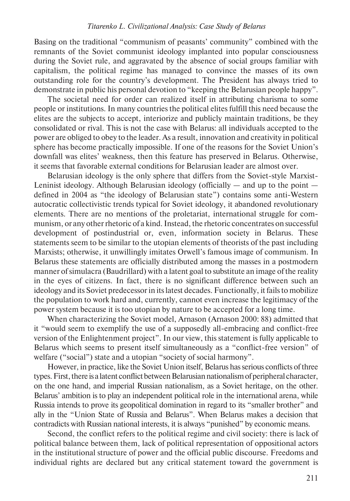Basing on the traditional "communism of peasants' community" combined with the remnants of the Soviet communist ideology implanted into popular consciousness during the Soviet rule, and aggravated by the absence of social groups familiar with capitalism, the political regime has managed to convince the masses of its own outstanding role for the country's development. The President has always tried to demonstrate in public his personal devotion to "keeping the Belarusian people happy".

The societal need for order can realized itself in attributing charisma to some people or institutions. In many countries the political elites fulfill this need because the elites are the subjects to accept, interiorize and publicly maintain traditions, be they consolidated or rival. This is not the case with Belarus: all individuals accepted to the power are obliged to obey to the leader. As a result, innovation and creativity in political sphere has become practically impossible. If one of the reasons for the Soviet Union's downfall was elites' weakness, then this feature has preserved in Belarus. Otherwise, it seems that favorable external conditions for Belarusian leader are almost over.

Belarusian ideology is the only sphere that differs from the Soviet-style Marxist-Leninist ideology. Although Belarusian ideology (officially — and up to the point defined in 2004 as "the ideology of Belarusian state") contains some anti-Western autocratic collectivistic trends typical for Soviet ideology, it abandoned revolutionary elements. There are no mentions of the proletariat, international struggle for communism, or any other rhetoric of a kind. Instead, the rhetoric concentrates on successful development of postindustrial or, even, information society in Belarus. These statements seem to be similar to the utopian elements of theorists of the past including Marxists; otherwise, it unwillingly imitates Orwell's famous image of communism. In Belarus these statements are officially distributed among the masses in a postmodern manner of simulacra (Baudrillard) with a latent goal to substitute an image of the reality in the eyes of citizens. In fact, there is no significant difference between such an ideology and its Soviet predecessor in its latest decades. Functionally, it fails to mobilize the population to work hard and, currently, cannot even increase the legitimacy of the power system because it is too utopian by nature to be accepted for a long time.

When characterizing the Soviet model, Arnason (Arnason 2000: 88) admitted that it "would seem to exemplify the use of a supposedly all-embracing and conflict-free version of the Enlightenment project". In our view, this statement is fully applicable to Belarus which seems to present itself simultaneously as a "conflict-free version" of welfare ("social") state and a utopian "society of social harmony".

However, in practice, like the Soviet Union itself, Belarus has serious conflicts of three types. First, there is a latent conflict between Belarusian nationalism of peripheral character, on the one hand, and imperial Russian nationalism, as a Soviet heritage, on the other. Belarus' ambition is to play an independent political role in the international arena, while Russia intends to prove its geopolitical domination in regard to its "smaller brother" and ally in the "Union State of Russia and Belarus". When Belarus makes a decision that contradicts with Russian national interests, it is always "punished" by economic means.

Second, the conflict refers to the political regime and civil society: there is lack of political balance between them, lack of political representation of oppositional actors in the institutional structure of power and the official public discourse. Freedoms and individual rights are declared but any critical statement toward the government is